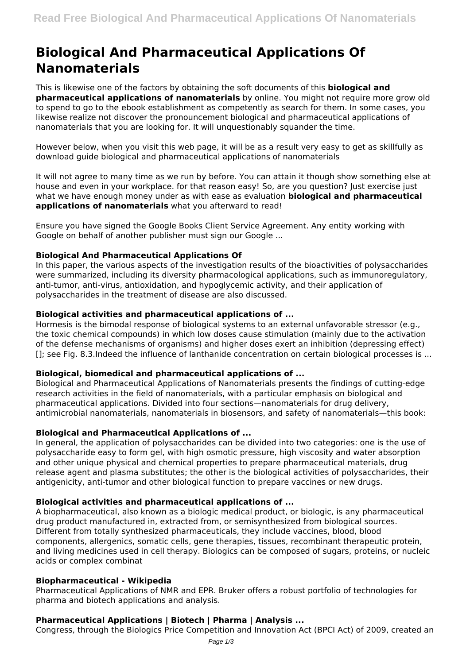# **Biological And Pharmaceutical Applications Of Nanomaterials**

This is likewise one of the factors by obtaining the soft documents of this **biological and pharmaceutical applications of nanomaterials** by online. You might not require more grow old to spend to go to the ebook establishment as competently as search for them. In some cases, you likewise realize not discover the pronouncement biological and pharmaceutical applications of nanomaterials that you are looking for. It will unquestionably squander the time.

However below, when you visit this web page, it will be as a result very easy to get as skillfully as download guide biological and pharmaceutical applications of nanomaterials

It will not agree to many time as we run by before. You can attain it though show something else at house and even in your workplace. for that reason easy! So, are you question? Just exercise just what we have enough money under as with ease as evaluation **biological and pharmaceutical applications of nanomaterials** what you afterward to read!

Ensure you have signed the Google Books Client Service Agreement. Any entity working with Google on behalf of another publisher must sign our Google ...

## **Biological And Pharmaceutical Applications Of**

In this paper, the various aspects of the investigation results of the bioactivities of polysaccharides were summarized, including its diversity pharmacological applications, such as immunoregulatory, anti-tumor, anti-virus, antioxidation, and hypoglycemic activity, and their application of polysaccharides in the treatment of disease are also discussed.

## **Biological activities and pharmaceutical applications of ...**

Hormesis is the bimodal response of biological systems to an external unfavorable stressor (e.g., the toxic chemical compounds) in which low doses cause stimulation (mainly due to the activation of the defense mechanisms of organisms) and higher doses exert an inhibition (depressing effect) []; see Fig. 8.3.Indeed the influence of lanthanide concentration on certain biological processes is ...

## **Biological, biomedical and pharmaceutical applications of ...**

Biological and Pharmaceutical Applications of Nanomaterials presents the findings of cutting-edge research activities in the field of nanomaterials, with a particular emphasis on biological and pharmaceutical applications. Divided into four sections—nanomaterials for drug delivery, antimicrobial nanomaterials, nanomaterials in biosensors, and safety of nanomaterials—this book:

## **Biological and Pharmaceutical Applications of ...**

In general, the application of polysaccharides can be divided into two categories: one is the use of polysaccharide easy to form gel, with high osmotic pressure, high viscosity and water absorption and other unique physical and chemical properties to prepare pharmaceutical materials, drug release agent and plasma substitutes; the other is the biological activities of polysaccharides, their antigenicity, anti-tumor and other biological function to prepare vaccines or new drugs.

## **Biological activities and pharmaceutical applications of ...**

A biopharmaceutical, also known as a biologic medical product, or biologic, is any pharmaceutical drug product manufactured in, extracted from, or semisynthesized from biological sources. Different from totally synthesized pharmaceuticals, they include vaccines, blood, blood components, allergenics, somatic cells, gene therapies, tissues, recombinant therapeutic protein, and living medicines used in cell therapy. Biologics can be composed of sugars, proteins, or nucleic acids or complex combinat

## **Biopharmaceutical - Wikipedia**

Pharmaceutical Applications of NMR and EPR. Bruker offers a robust portfolio of technologies for pharma and biotech applications and analysis.

## **Pharmaceutical Applications | Biotech | Pharma | Analysis ...**

Congress, through the Biologics Price Competition and Innovation Act (BPCI Act) of 2009, created an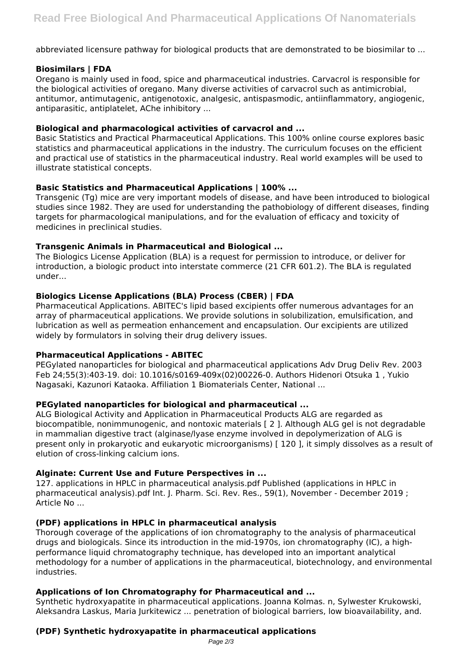abbreviated licensure pathway for biological products that are demonstrated to be biosimilar to ...

## **Biosimilars | FDA**

Oregano is mainly used in food, spice and pharmaceutical industries. Carvacrol is responsible for the biological activities of oregano. Many diverse activities of carvacrol such as antimicrobial, antitumor, antimutagenic, antigenotoxic, analgesic, antispasmodic, antiinflammatory, angiogenic, antiparasitic, antiplatelet, AChe inhibitory ...

## **Biological and pharmacological activities of carvacrol and ...**

Basic Statistics and Practical Pharmaceutical Applications. This 100% online course explores basic statistics and pharmaceutical applications in the industry. The curriculum focuses on the efficient and practical use of statistics in the pharmaceutical industry. Real world examples will be used to illustrate statistical concepts.

## **Basic Statistics and Pharmaceutical Applications | 100% ...**

Transgenic (Tg) mice are very important models of disease, and have been introduced to biological studies since 1982. They are used for understanding the pathobiology of different diseases, finding targets for pharmacological manipulations, and for the evaluation of efficacy and toxicity of medicines in preclinical studies.

## **Transgenic Animals in Pharmaceutical and Biological ...**

The Biologics License Application (BLA) is a request for permission to introduce, or deliver for introduction, a biologic product into interstate commerce (21 CFR 601.2). The BLA is regulated under...

## **Biologics License Applications (BLA) Process (CBER) | FDA**

Pharmaceutical Applications. ABITEC's lipid based excipients offer numerous advantages for an array of pharmaceutical applications. We provide solutions in solubilization, emulsification, and lubrication as well as permeation enhancement and encapsulation. Our excipients are utilized widely by formulators in solving their drug delivery issues.

## **Pharmaceutical Applications - ABITEC**

PEGylated nanoparticles for biological and pharmaceutical applications Adv Drug Deliv Rev. 2003 Feb 24;55(3):403-19. doi: 10.1016/s0169-409x(02)00226-0. Authors Hidenori Otsuka 1 , Yukio Nagasaki, Kazunori Kataoka. Affiliation 1 Biomaterials Center, National ...

## **PEGylated nanoparticles for biological and pharmaceutical ...**

ALG Biological Activity and Application in Pharmaceutical Products ALG are regarded as biocompatible, nonimmunogenic, and nontoxic materials [ 2 ]. Although ALG gel is not degradable in mammalian digestive tract (alginase/lyase enzyme involved in depolymerization of ALG is present only in prokaryotic and eukaryotic microorganisms) [ 120 ], it simply dissolves as a result of elution of cross-linking calcium ions.

## **Alginate: Current Use and Future Perspectives in ...**

127. applications in HPLC in pharmaceutical analysis.pdf Published (applications in HPLC in pharmaceutical analysis).pdf Int. J. Pharm. Sci. Rev. Res., 59(1), November - December 2019 ; Article No ...

## **(PDF) applications in HPLC in pharmaceutical analysis**

Thorough coverage of the applications of ion chromatography to the analysis of pharmaceutical drugs and biologicals. Since its introduction in the mid-1970s, ion chromatography (IC), a highperformance liquid chromatography technique, has developed into an important analytical methodology for a number of applications in the pharmaceutical, biotechnology, and environmental industries.

## **Applications of Ion Chromatography for Pharmaceutical and ...**

Synthetic hydroxyapatite in pharmaceutical applications. Joanna Kolmas. n, Sylwester Krukowski, Aleksandra Laskus, Maria Jurkitewicz ... penetration of biological barriers, low bioavailability, and.

## **(PDF) Synthetic hydroxyapatite in pharmaceutical applications**